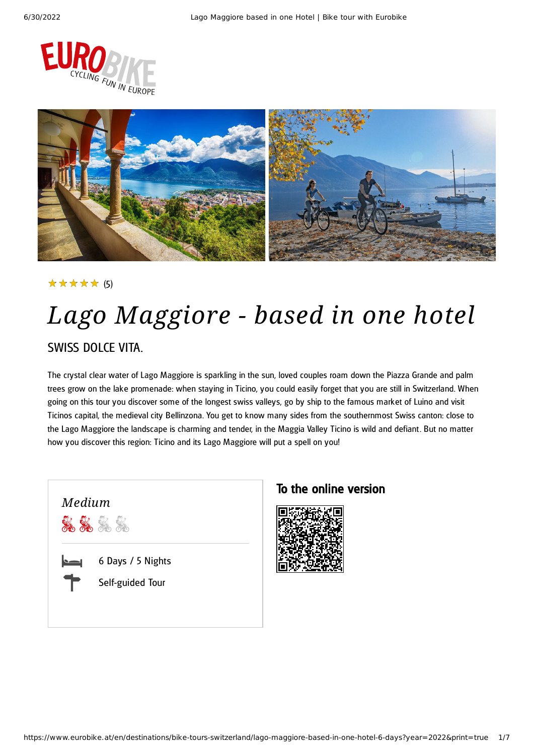



### ★★★★★ (5)

## *Lago Maggiore - based in one hotel* SWISS DOLCE VITA.

The crystal clear water of Lago Maggiore is sparkling in the sun, loved couples roam down the Piazza Grande and palm trees grow on the lake promenade: when staying in Ticino, you could easily forget that you are still in Switzerland. When going on this tour you discover some of the longest swiss valleys, go by ship to the famous market of Luino and visit Ticinos capital, the medieval city Bellinzona. You get to know many sides from the southernmost Swiss canton: close to the Lago Maggiore the landscape is charming and tender, in the Maggia Valley Ticino is wild and defiant. But no matter how you discover this region: Ticino and its Lago Maggiore will put a spell on you!



### To the online version

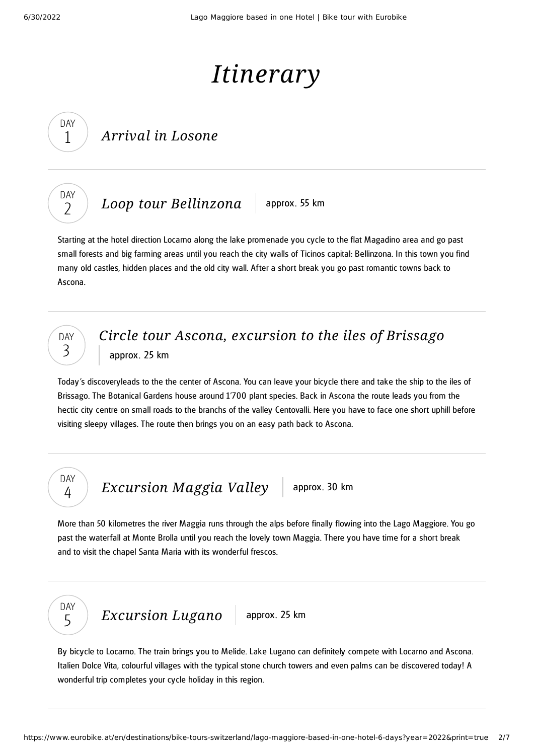# *Itinerary*

### *Arrival in Losone*



DAY 1

*Loop tour [Bellinzona](#page-1-0)* approx. 55 km

<span id="page-1-0"></span>Starting at the hotel direction Locarno along the lake promenade you cycle to the flat Magadino area and go past small forests and big farming areas until you reach the city walls of Ticinos capital: Bellinzona. In this town you find many old castles, hidden places and the old city wall. After a short break you go past romantic towns back to Ascona.



### *Circle tour Ascona, [excursion](#page-1-1) to the iles of Brissago* approx. 25 km

<span id="page-1-1"></span>Today's discoveryleads to the the center of Ascona. You can leave your bicycle there and take the ship to the iles of Brissago. The Botanical Gardens house around 1'700 plant species. Back in Ascona the route leads you from the hectic city centre on small roads to the branchs of the valley Centovalli. Here you have to face one short uphill before visiting sleepy villages. The route then brings you on an easy path back to Ascona.

DAY 4

*[Excursion](#page-1-2) Maggia Valley* approx. 30 km

<span id="page-1-2"></span>More than 50 kilometres the river Maggia runs through the alps before finally flowing into the Lago Maggiore. You go past the waterfall at Monte Brolla until you reach the lovely town Maggia. There you have time for a short break and to visit the chapel Santa Maria with its wonderful frescos.



*[Excursion](#page-1-3) Lugano* approx. 25 km

<span id="page-1-3"></span>By bicycle to Locarno. The train brings you to Melide. Lake Lugano can definitely compete with Locarno and Ascona. Italien Dolce Vita, colourful villages with the typical stone church towers and even palms can be discovered today! A wonderful trip completes your cycle holiday in this region.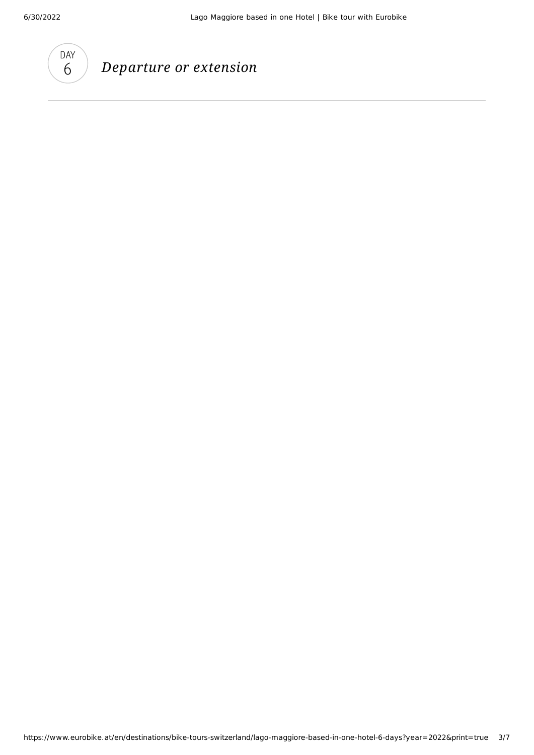

## *Departure or extension*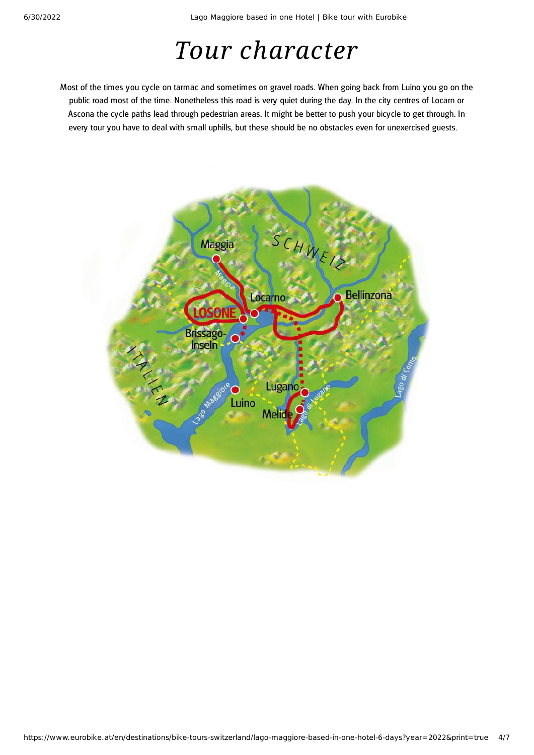# *Tour character*

Most of the times you cycle on tarmac and sometimes on gravel roads. When going back from Luino you go on the public road most of the time. Nonetheless this road is very quiet during the day. In the city centres of Locarn or Ascona the cycle paths lead through pedestrian areas. It might be better to push your bicycle to get through. In every tour you have to deal with small uphills, but these should be no obstacles even for unexercised guests.

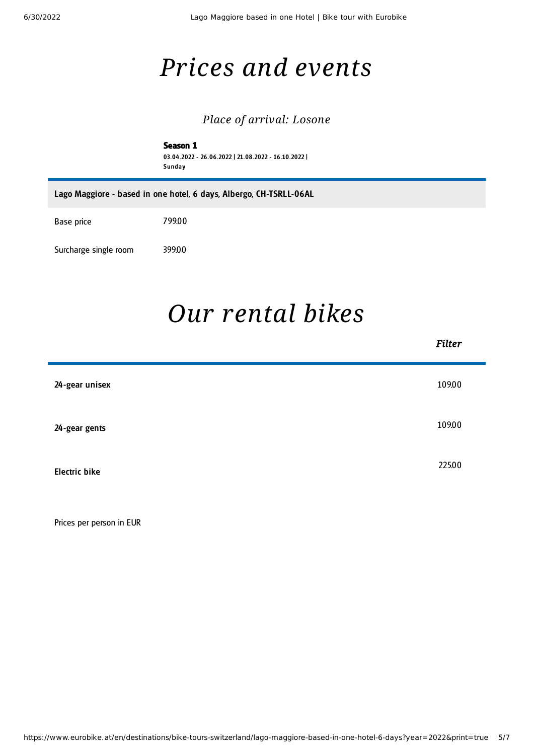п

## *Prices and events*

### *Place of arrival: Losone*

Season 1 03.04 .2022 - 26.06.2022 | 21.08.2022 - 16.10.2022 | **Sunday** 

Lago Maggiore - based in one hotel, 6 days, Albergo, CH-TSRLL-06AL

Base price 799.00

Surcharge single room 399.00

## *Our [rental](#page-4-0) bikes*

۰

<span id="page-4-0"></span>

|                      | <b>Filter</b> |
|----------------------|---------------|
| 24-gear unisex       | 109.00        |
| 24-gear gents        | 109.00        |
| <b>Electric bike</b> | 225.00        |
|                      |               |

Prices per person in EUR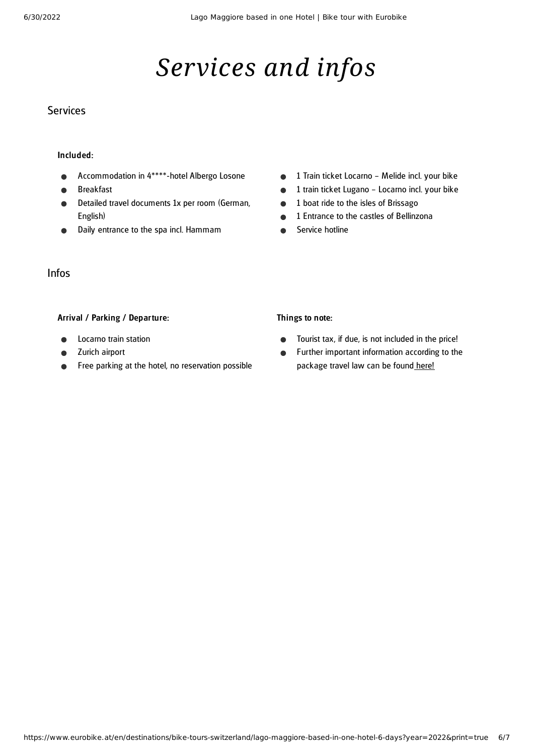# *Services and infos*

#### **Services**

#### Included:

- Accommodation in 4\*\*\*\*-hotel Albergo Losone
- Breakfast
- Detailed travel documents 1x per room (German, English)
- Daily entrance to the spa incl. Hammam  $\bullet$
- 1 Train ticket Locarno Melide incl. your bike  $\bullet$
- 1 train ticket Lugano Locarno incl. your bike  $\bullet$
- 1 boat ride to the isles of Brissago  $\bullet$
- 1 Entrance to the castles of Bellinzona  $\bullet$
- Service hotline  $\bullet$

### Infos

#### Arrival / Parking / Departure:

- Locarno train station
- Zurich airport
- Free parking at the hotel, no reservation possible

### Things to note:

- Tourist tax, if due, is not included in the price!  $\bullet$
- Further important information according to the  $\bullet$ package travel law can be found [here](https://www.eurobike.at/en/travel-information/before-the-tour/pci)!